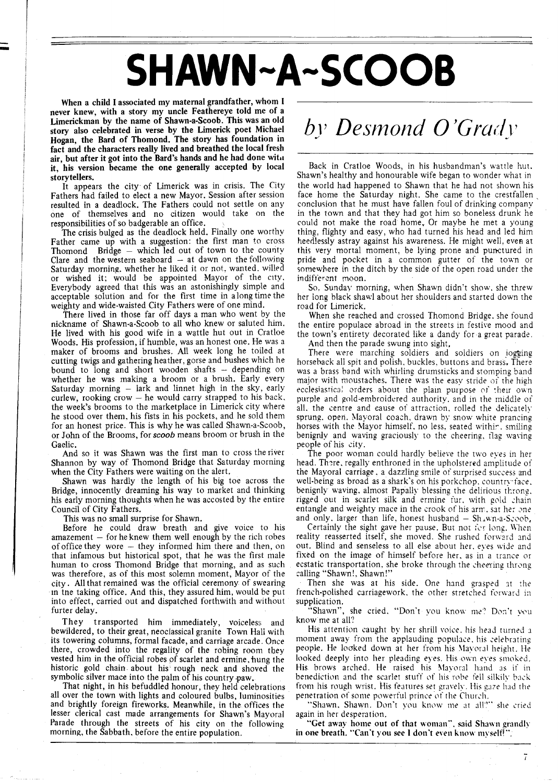## **SHAWN-A-SCOOB**

When a child I associated my maternal grandfather, whom I never knew, with a story my uncle Feathereye told me of a Limerickman by the name of Shawn-a-Scoob. This was an old story also celebrated in verse by the Limerick poet Michael Hogan, the Bard of Thomond. The story has foundation in fact and the characters really lived and breathed the local fresh air, but after it got into the Bard's hands and he had done with it, his version became the one generally accepted by local storytellers.

It appears the city of Limerick was in crisis. The City Fathers had failed to elect a new Mayor. Session after session resulted in a deadlock. The Fathers could not settle on any one of themselves and no citizen would take on the responsibilities of so badgerable an office. ,

The crisis bulged as the deadlock held. Finally one worthy Father came up with a suggestion: the first man to cross Father came up with a suggestion: the first man to cross<br>Thomond Bridge – which led out of town to the county Thomond Bridge – which led out of town to the county<br>Clare and the western seaboard – at dawn on the following Saturday morning, whether he liked it or not, wanted, willed or wished it; would be appointed Mayor of the city. Everybody agreed that this was an astonishingly simple and acceptable solution and for the first time in along time the weighty and wide-waisted City Fathers were of one mind.

There lived in those far off days a man who went by the nickname of Shawn-a-Scoob to all who knew or saluted him. He lived with his good wife in a wattle hut out in Cratloe Woods. His profession, if humble, was an honest one. He was a maker of brooms and brushes. All week long he toiled at cutting twigs and gathering heather, gorse and bushes which he bound to long and short wooden shafts - depending on whether he was making a broom or a brush. Early every Saturday morning  $-$  lark and linnet high in the sky, early curlew, rooking crow - he would carry strapped to his back. the week's brooms to the marketplace in Limerick city where he stood over them. his fists in his pockets, and he sold them for an honest price. This is why he was called Shawn-a-Scoob, or John of the Brooms, for **scoob** means broom or brush in the Gaelic.

And so it was Shawn was the first man to cross the river Shannon by way of Thomond Bridge that Saturday morning when the City Fathers were waiting on the alert.

Shawn was hardly the length of his big toe across the Bridge, innocently dreaming his way to market and thinking his early morning thoughts when he was accosted by the entire Council of City Fathers.

This was no small surprise for Shawn.

Before he could draw breath and give voice to his amazement – for he knew them well enough by the rich robes amazement  $-$  for he knew them well enough by the rich robes of office they wore  $-$  they informed him there and then, on that infamous but historical spot, that he was the first male human to cross Thomond Bridge that morning, and as such was therefore, as of this most solemn moment, Mayor of the city. All that remained was the official ceremony of swearing m tne taking office. And this, they assured him, would be put into effect, carried out and dispatched forthwith and without furter delay.

They transported him immediately, voiceless and bewildered, to their great, neoclassical granite Town Hali with its towering columns, formal facade, and carriage arcade. Once there, crowded into the regality of the rohing room they vested him in the official robes pf scarlet and ermine. hung the historic gold chain about his rough neck and shoved the symbolic silver mace into the palm of his country paw.

That night, in his befuddled honour, they held celebrations all over the town with lights and coloured bulbs, luminosities and brightly foreign fireworks. Meanwhile, in the offices the lesser clerical cast made arrangements for Shawn's Mayoral Parade through the streets of his city on the following morning, the Sabbath, before the entire population.

## by Desmond O'Grady

Back in Cratloe Woods, in his husbandman's wattle hut. Shawn's healthy and honourable wife began to wonder what in the world had happened to Shawn that he had not shown his face home the Saturday night. She came to the crestfallen conclusion that he must have fallen foul of drinking company in the town and that they had got him so boneless drunk he could not make the road home, Or maybe he met a young thing, flighty and easy, who had turned his head and led him heedlessly astray against his awareness. He might well, even at this very mortal moment, be lying prone and punctured in pride and pocket in a common gutter of the town or somewhere in the ditch by the side of the open road under the indifferent moon.

So. Sunday morning, when Shawn didn't show, she threw her long black shawl about her shoulders and started down the road for Limerick.

When she reached and crossed Thomond Bridge. she found the entire populace abroad in the streets in festive mood and the town's entirety decorated like a dandy for a great parade. And then the parade swung into sight,

There were marching soldiers and soldiers on jogging horsehack all spit and polish. buckles. buttons and brass. Therc was a brass hand with whirling drumsticks and stomping band major with moustaches. There was the easy stride of the high ecclesiastical orders about the plam purpose of :heir own purple and gold-embroidcred authority. and in the middle of all, the centre and cause of attraction, rolled the delicately sprung. open. Mayoral coach, drawn by snow white prancing horses with the Mayor himself, no less, seated withir, smiling benignly and waving graciously to the cheering, flag waving people of his city.

The poor woman could hardly believe the two eves in her head. There, regally enthroned in the upholstered amplitude of the Mayoral carriage, a dazzling smile of surprised success and well-being as broad as a shark's on his porkchop, country face. benignly waving. almost Papaliy blessing the delirious throng. rigged out in scarlet silk and ermine fur, with gold chain entangle and weighty mace in the crook of his arm, sat her one and only, larger than life, honest husband  $-$  Sh<sub>4</sub>wn-a-Scoob,

Certainly the sight gave her pause. But not for long. When reality reasserted itself, she moved. She rushed forward and out. Blind and senseless to all else about her, eves wide and fixed on the image of himself before her, as in a trance or ecstatic transportation. she broke through the cheering throng calling "Shawn!, Shawn!"

Then she was at his side. One hand grasped at the french-polished carriagework, the other stretched forward in supplication.

'Shawn", she cried. "Don't you know me? Don't you know me at all'?

His attention caught by her shrill voice, his head turned a moment away from the applauding populace, his celebrating people. He looked down at her from his Mayoral height. He looked deeply into her pleading eyes. His own eyes smoked. His brows arched. He raised his Mayoral hand as if in benediction and the scarlet stuff of his robe fell silkily back from his rough wrist. His features set gravely. His gaze had the penetration of some powerful prince of the Church.

'Shawn, Shawn. Don't you know me at all?" she cried again in her desperation.

"Get away home out of that woman", said Shawn grandly in one breath. "Can't you see 1 don't even know myself! ".